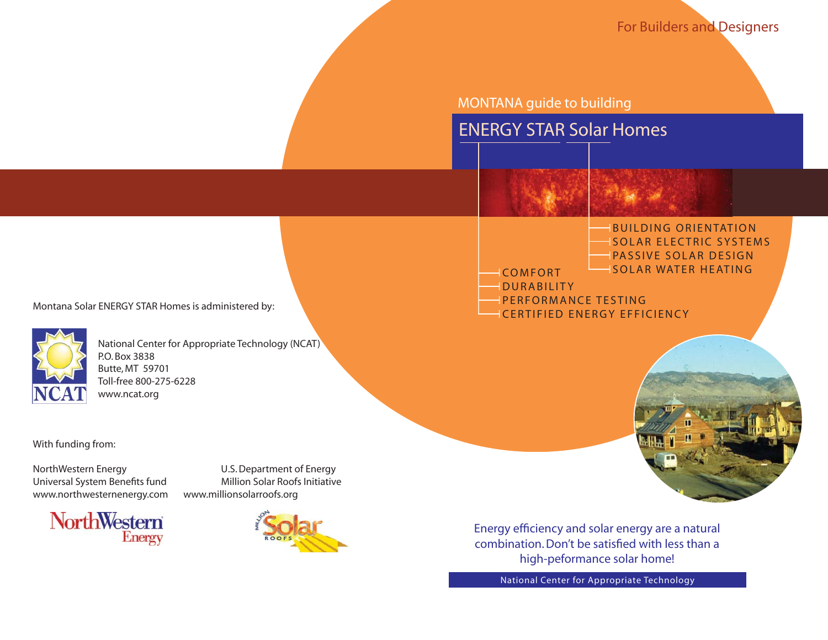For Builders and Designers

MONTANA guide to building





IDURABILITY

- IPERFORMANCE TESTING
- CERTIFIED ENERGY EFFICIENCY



Montana Solar ENERGY STAR Homes is administered by:

National Center for Appropriate Technology (NCAT) Toll-free 800-275-6228 www.ncat.org

With funding from:

NorthWestern Energy U.S. Department of Energy Universal System Benefits fund Million Solar Roofs Initiative www.northwesternenergy.com www.millionsolarroofs.org





Energy efficiency and solar energy are a natural combination. Don't be satisfied with less than a high-peformance solar home!

National Center for Appropriate Technology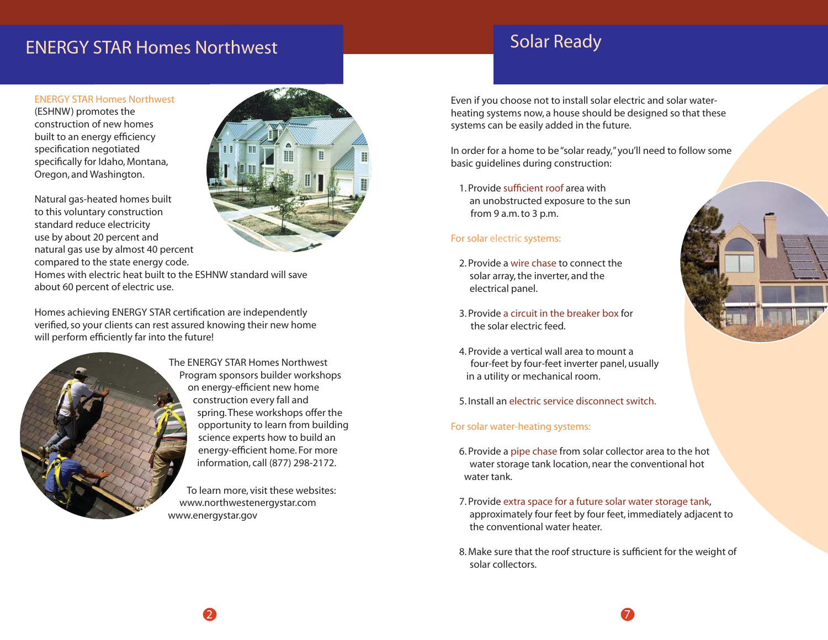# ENERGY STAR Homes Northwest Northwest Solar Ready

### **ENERGY STAR Homes Northwest** (ESHNW) promotes the construction of new homes built to an energy efficiency specification negotiated specifically for Idaho, Montana, Oregon, and Washington.

Natural gas-heated homes built to this voluntary construction standard reduce electricity use by about 20 percent and natural gas use by almost 40 percent compared to the state energy code.

Homes with electric heat built to the ESHNW standard will save about 60 percent of electric use.

Homes achieving ENERGY STAR certification are independently verified, so your clients can rest assured knowing their new home will perform efficiently far into the future!



The ENERGY STAR Homes Northwest Program sponsors builder workshops on energy-efficient new home construction every fall and spring. These workshops offer the opportunity to learn from building science experts how to build an energy-efficient home. For more information, call (877) 298-2172.

To learn more, visit these websites: www.northwestenergystar.com www.energystar.gov

2

Even if you choose not to install solar electric and solar waterheating systems now, a house should be designed so that these systems can be easily added in the future.

In order for a home to be "solar ready," you'll need to follow some basic guidelines during construction:

1. Provide sufficient roof area with an unobstructed exposure to the sun from 9 a.m. to 3 p.m.

### For solar electric systems:

- 2. Provide a wire chase to connect the solar array, the inverter, and the electrical panel.
- 3. Provide a circuit in the breaker box for the solar electric feed.
- 4. Provide a vertical wall area to mount a four-feet by four-feet inverter panel, usually in a utility or mechanical room.

5. Install an electric service disconnect switch.

#### For solar water-heating systems:

- 6. Provide a pipe chase from solar collector area to the hot water storage tank location, near the conventional hot water tank.
- 7. Provide extra space for a future solar water storage tank, approximately four feet by four feet, immediately adjacent to the conventional water heater.
- 8. Make sure that the roof structure is sufficient for the weight of solar collectors.

7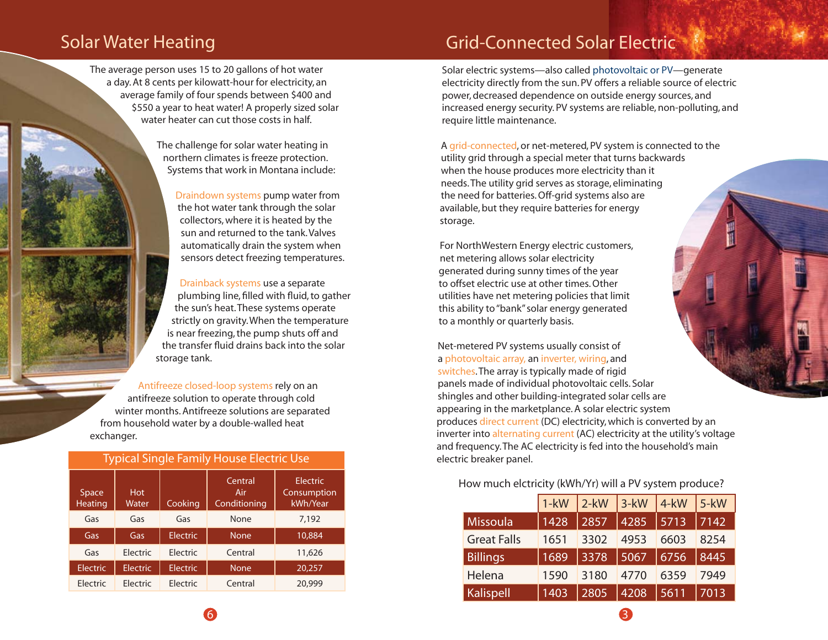The average person uses 15 to 20 gallons of hot water a day. At 8 cents per kilowatt-hour for electricity, an average family of four spends between \$400 and \$550 a year to heat water! A properly sized solar water heater can cut those costs in half.

> The challenge for solar water heating in northern climates is freeze protection. Systems that work in Montana include:

> > Draindown systems pump water from the hot water tank through the solar collectors, where it is heated by the sun and returned to the tank. Valves automatically drain the system when sensors detect freezing temperatures.

Drainback systems use a separate plumbing line, filled with fluid, to gather the sun's heat. These systems operate strictly on gravity. When the temperature is near freezing, the pump shuts off and the transfer fluid drains back into the solar storage tank.

Antifreeze closed-loop systems rely on an antifreeze solution to operate through cold winter months. Antifreeze solutions are separated from household water by a double-walled heat exchanger.

| <b>Typical Single Family House Electric Use</b> |                     |                 |                                |                                            |  |  |  |  |
|-------------------------------------------------|---------------------|-----------------|--------------------------------|--------------------------------------------|--|--|--|--|
| Space<br><b>Heating</b>                         | <b>Hot</b><br>Water | Cooking         | Central<br>Air<br>Conditioning | <b>Electric</b><br>Consumption<br>kWh/Year |  |  |  |  |
| Gas                                             | Gas                 | Gas             | None                           | 7,192                                      |  |  |  |  |
| Gas                                             | Gas                 | Electric        | <b>None</b>                    | 10,884                                     |  |  |  |  |
| Gas                                             | Flectric            | Electric        | Central                        | 11,626                                     |  |  |  |  |
| <b>Electric</b>                                 | <b>Electric</b>     | <b>Electric</b> | <b>None</b>                    | 20,257                                     |  |  |  |  |
| Electric                                        | Electric            | Electric        | Central                        | 20,999                                     |  |  |  |  |

## Solar Water Heating **Grid-Connected Solar Electric** Solar Electric

Solar electric systems—also called photovoltaic or PV—generate electricity directly from the sun. PV offers a reliable source of electric power, decreased dependence on outside energy sources, and increased energy security. PV systems are reliable, non-polluting, and require little maintenance.

A grid-connected, or net-metered, PV system is connected to the utility grid through a special meter that turns backwards when the house produces more electricity than it needs. The utility grid serves as storage, eliminating the need for batteries. Off-grid systems also are available, but they require batteries for energy storage.

For NorthWestern Energy electric customers, net metering allows solar electricity generated during sunny times of the year to offset electric use at other times. Other utilities have net metering policies that limit this ability to "bank" solar energy generated to a monthly or quarterly basis.

Net-metered PV systems usually consist of a photovoltaic array, an inverter, wiring, and switches. The array is typically made of rigid panels made of individual photovoltaic cells. Solar shingles and other building-integrated solar cells are appearing in the marketplance. A solar electric system produces direct current (DC) electricity, which is converted by an inverter into alternating current (AC) electricity at the utility's voltage and frequency. The AC electricity is fed into the household's main electric breaker panel.

How much elctricity (kWh/Yr) will a PV system produce?

|                    | $1 - kW$ | $2-kW$ | $3-kW$ | $4$ -kW | $5-kW$ |
|--------------------|----------|--------|--------|---------|--------|
| <b>Missoula</b>    | 1428     | 2857   | 4285   | 5713    | 7142   |
| <b>Great Falls</b> | 1651     | 3302   | 4953   | 6603    | 8254   |
| <b>Billings</b>    | 1689     | 3378   | 5067   | 6756    | 8445   |
| Helena             | 1590     | 3180   | 4770   | 6359    | 7949   |
| <b>Kalispell</b>   | 1403     | 2805   | 4208   | 5611    | 7013   |